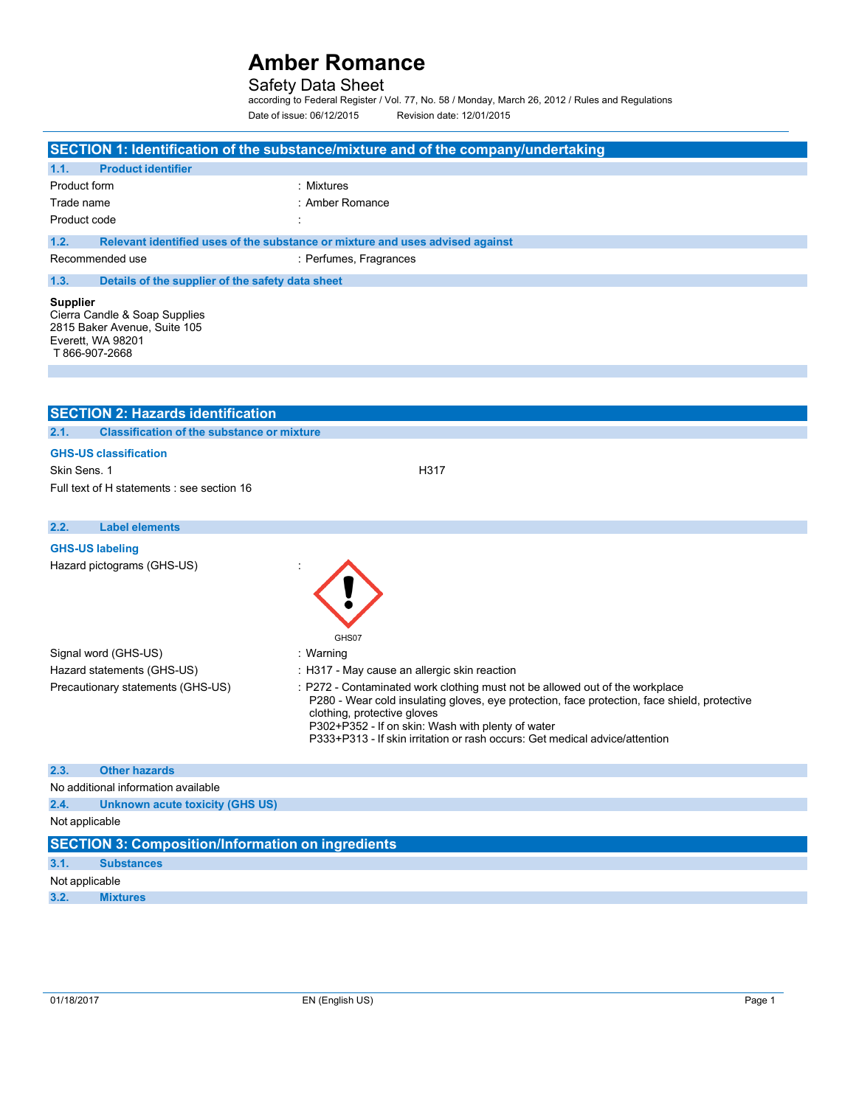Safety Data Sheet according to Federal Register / Vol. 77, No. 58 / Monday, March 26, 2012 / Rules and Regulations Date of issue: 06/12/2015 Revision date: 12/01/2015

| SECTION 1: Identification of the substance/mixture and of the company/undertaking                                                                                                                                                                                                                                                                                                    |                                                                               |  |  |
|--------------------------------------------------------------------------------------------------------------------------------------------------------------------------------------------------------------------------------------------------------------------------------------------------------------------------------------------------------------------------------------|-------------------------------------------------------------------------------|--|--|
| <b>Product identifier</b><br>1.1.                                                                                                                                                                                                                                                                                                                                                    |                                                                               |  |  |
| Product form                                                                                                                                                                                                                                                                                                                                                                         | : Mixtures                                                                    |  |  |
| Trade name                                                                                                                                                                                                                                                                                                                                                                           | : Amber Romance                                                               |  |  |
| Product code                                                                                                                                                                                                                                                                                                                                                                         |                                                                               |  |  |
| 1.2.                                                                                                                                                                                                                                                                                                                                                                                 | Relevant identified uses of the substance or mixture and uses advised against |  |  |
| Recommended use                                                                                                                                                                                                                                                                                                                                                                      | : Perfumes, Fragrances                                                        |  |  |
| 1.3.                                                                                                                                                                                                                                                                                                                                                                                 | Details of the supplier of the safety data sheet                              |  |  |
| <b>Supplier</b><br>Cierra Candle & Soap Supplies<br>2815 Baker Avenue, Suite 105<br>Everett, WA 98201<br>T 866-907-2668                                                                                                                                                                                                                                                              |                                                                               |  |  |
|                                                                                                                                                                                                                                                                                                                                                                                      |                                                                               |  |  |
| <b>SECTION 2: Hazards identification</b>                                                                                                                                                                                                                                                                                                                                             |                                                                               |  |  |
| 2.1.                                                                                                                                                                                                                                                                                                                                                                                 | <b>Classification of the substance or mixture</b>                             |  |  |
| <b>GHS-US classification</b>                                                                                                                                                                                                                                                                                                                                                         |                                                                               |  |  |
| Skin Sens, 1                                                                                                                                                                                                                                                                                                                                                                         | H317                                                                          |  |  |
| Full text of H statements : see section 16                                                                                                                                                                                                                                                                                                                                           |                                                                               |  |  |
|                                                                                                                                                                                                                                                                                                                                                                                      |                                                                               |  |  |
| <b>Label elements</b><br>2.2.                                                                                                                                                                                                                                                                                                                                                        |                                                                               |  |  |
| <b>GHS-US labeling</b>                                                                                                                                                                                                                                                                                                                                                               |                                                                               |  |  |
| Hazard pictograms (GHS-US)<br>GHS07                                                                                                                                                                                                                                                                                                                                                  |                                                                               |  |  |
| Signal word (GHS-US)                                                                                                                                                                                                                                                                                                                                                                 | : Warning                                                                     |  |  |
| Hazard statements (GHS-US)                                                                                                                                                                                                                                                                                                                                                           | : H317 - May cause an allergic skin reaction                                  |  |  |
| Precautionary statements (GHS-US)<br>: P272 - Contaminated work clothing must not be allowed out of the workplace<br>P280 - Wear cold insulating gloves, eye protection, face protection, face shield, protective<br>clothing, protective gloves<br>P302+P352 - If on skin: Wash with plenty of water<br>P333+P313 - If skin irritation or rash occurs: Get medical advice/attention |                                                                               |  |  |
| 2.3.<br><b>Other hazards</b>                                                                                                                                                                                                                                                                                                                                                         |                                                                               |  |  |
| No additional information available                                                                                                                                                                                                                                                                                                                                                  |                                                                               |  |  |
| 2.4.                                                                                                                                                                                                                                                                                                                                                                                 | <b>Unknown acute toxicity (GHS US)</b>                                        |  |  |
| Not applicable                                                                                                                                                                                                                                                                                                                                                                       |                                                                               |  |  |
| <b>SECTION 3: Composition/Information on ingredients</b>                                                                                                                                                                                                                                                                                                                             |                                                                               |  |  |
| 3.1.<br><b>Substances</b>                                                                                                                                                                                                                                                                                                                                                            |                                                                               |  |  |
| Not applicable                                                                                                                                                                                                                                                                                                                                                                       |                                                                               |  |  |
| 3.2.<br><b>Mixtures</b>                                                                                                                                                                                                                                                                                                                                                              |                                                                               |  |  |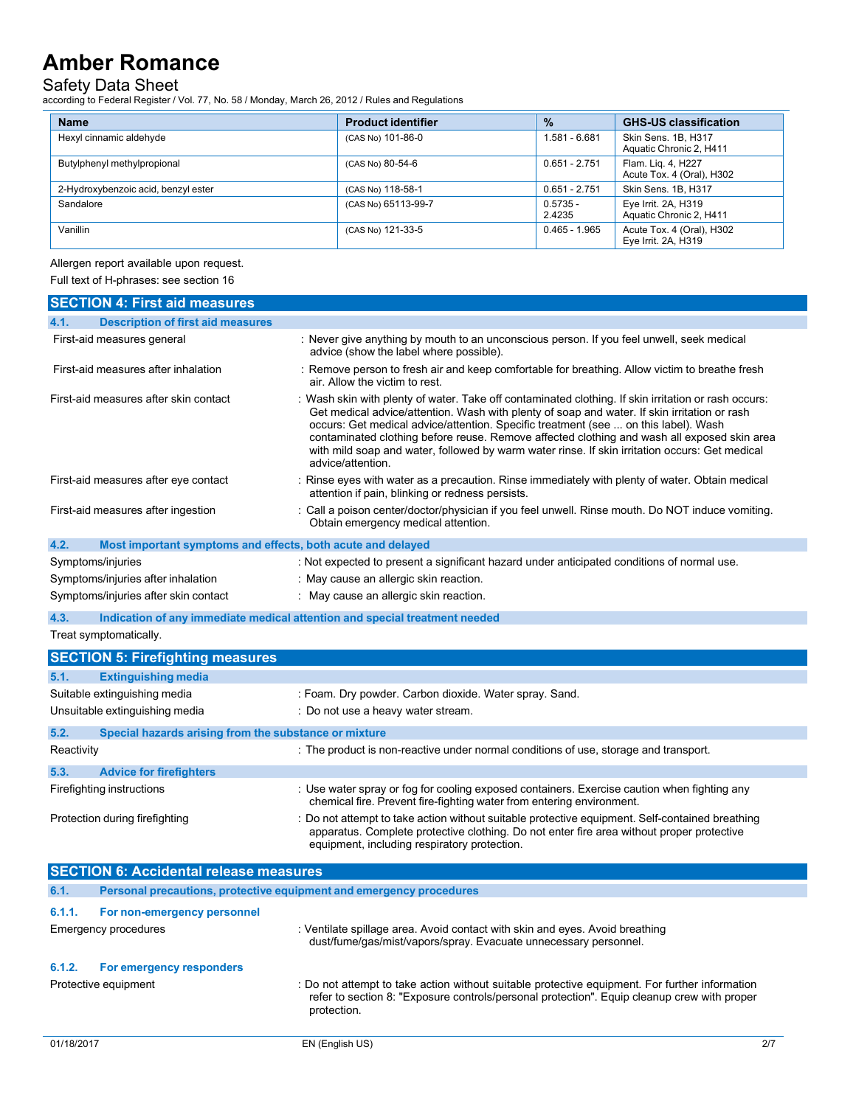Safety Data Sheet according to Federal Register / Vol. 77, No. 58 / Monday, March 26, 2012 / Rules and Regulations

| <b>Name</b>                         | <b>Product identifier</b> | $\frac{9}{6}$        | <b>GHS-US classification</b>                     |
|-------------------------------------|---------------------------|----------------------|--------------------------------------------------|
| Hexyl cinnamic aldehyde             | (CAS No) 101-86-0         | 1.581 - 6.681        | Skin Sens. 1B, H317<br>Aquatic Chronic 2, H411   |
| Butylphenyl methylpropional         | (CAS No) 80-54-6          | $0.651 - 2.751$      | Flam. Lig. 4, H227<br>Acute Tox. 4 (Oral), H302  |
| 2-Hydroxybenzoic acid, benzyl ester | (CAS No) 118-58-1         | $0.651 - 2.751$      | Skin Sens. 1B, H317                              |
| Sandalore                           | (CAS No) 65113-99-7       | $0.5735 -$<br>2.4235 | Eye Irrit. 2A, H319<br>Aquatic Chronic 2, H411   |
| Vanillin                            | (CAS No) 121-33-5         | $0.465 - 1.965$      | Acute Tox. 4 (Oral), H302<br>Eye Irrit. 2A, H319 |

Allergen report available upon request.

Full text of H-phrases: see section 16

|            | <b>SECTION 4: First aid measures</b>                        |                                                                                                                                                                                                                                                                                                                                                                                                                                                                                                                   |     |
|------------|-------------------------------------------------------------|-------------------------------------------------------------------------------------------------------------------------------------------------------------------------------------------------------------------------------------------------------------------------------------------------------------------------------------------------------------------------------------------------------------------------------------------------------------------------------------------------------------------|-----|
| 4.1.       | <b>Description of first aid measures</b>                    |                                                                                                                                                                                                                                                                                                                                                                                                                                                                                                                   |     |
|            | First-aid measures general                                  | : Never give anything by mouth to an unconscious person. If you feel unwell, seek medical<br>advice (show the label where possible).                                                                                                                                                                                                                                                                                                                                                                              |     |
|            | First-aid measures after inhalation                         | : Remove person to fresh air and keep comfortable for breathing. Allow victim to breathe fresh<br>air. Allow the victim to rest.                                                                                                                                                                                                                                                                                                                                                                                  |     |
|            | First-aid measures after skin contact                       | : Wash skin with plenty of water. Take off contaminated clothing. If skin irritation or rash occurs:<br>Get medical advice/attention. Wash with plenty of soap and water. If skin irritation or rash<br>occurs: Get medical advice/attention. Specific treatment (see  on this label). Wash<br>contaminated clothing before reuse. Remove affected clothing and wash all exposed skin area<br>with mild soap and water, followed by warm water rinse. If skin irritation occurs: Get medical<br>advice/attention. |     |
|            | First-aid measures after eye contact                        | : Rinse eyes with water as a precaution. Rinse immediately with plenty of water. Obtain medical<br>attention if pain, blinking or redness persists.                                                                                                                                                                                                                                                                                                                                                               |     |
|            | First-aid measures after ingestion                          | : Call a poison center/doctor/physician if you feel unwell. Rinse mouth. Do NOT induce vomiting.<br>Obtain emergency medical attention.                                                                                                                                                                                                                                                                                                                                                                           |     |
| 4.2.       | Most important symptoms and effects, both acute and delayed |                                                                                                                                                                                                                                                                                                                                                                                                                                                                                                                   |     |
|            | Symptoms/injuries                                           | : Not expected to present a significant hazard under anticipated conditions of normal use.                                                                                                                                                                                                                                                                                                                                                                                                                        |     |
|            | Symptoms/injuries after inhalation                          | : May cause an allergic skin reaction.                                                                                                                                                                                                                                                                                                                                                                                                                                                                            |     |
|            | Symptoms/injuries after skin contact                        | : May cause an allergic skin reaction.                                                                                                                                                                                                                                                                                                                                                                                                                                                                            |     |
| 4.3.       |                                                             | Indication of any immediate medical attention and special treatment needed                                                                                                                                                                                                                                                                                                                                                                                                                                        |     |
|            | Treat symptomatically.                                      |                                                                                                                                                                                                                                                                                                                                                                                                                                                                                                                   |     |
|            | <b>SECTION 5: Firefighting measures</b>                     |                                                                                                                                                                                                                                                                                                                                                                                                                                                                                                                   |     |
| 5.1.       | <b>Extinguishing media</b>                                  |                                                                                                                                                                                                                                                                                                                                                                                                                                                                                                                   |     |
|            | Suitable extinguishing media                                | : Foam. Dry powder. Carbon dioxide. Water spray. Sand.                                                                                                                                                                                                                                                                                                                                                                                                                                                            |     |
|            | Unsuitable extinguishing media                              | : Do not use a heavy water stream.                                                                                                                                                                                                                                                                                                                                                                                                                                                                                |     |
| 5.2.       | Special hazards arising from the substance or mixture       |                                                                                                                                                                                                                                                                                                                                                                                                                                                                                                                   |     |
| Reactivity |                                                             | : The product is non-reactive under normal conditions of use, storage and transport.                                                                                                                                                                                                                                                                                                                                                                                                                              |     |
| 5.3.       | <b>Advice for firefighters</b>                              |                                                                                                                                                                                                                                                                                                                                                                                                                                                                                                                   |     |
|            | Firefighting instructions                                   | : Use water spray or fog for cooling exposed containers. Exercise caution when fighting any<br>chemical fire. Prevent fire-fighting water from entering environment.                                                                                                                                                                                                                                                                                                                                              |     |
|            | Protection during firefighting                              | : Do not attempt to take action without suitable protective equipment. Self-contained breathing<br>apparatus. Complete protective clothing. Do not enter fire area without proper protective<br>equipment, including respiratory protection.                                                                                                                                                                                                                                                                      |     |
|            | <b>SECTION 6: Accidental release measures</b>               |                                                                                                                                                                                                                                                                                                                                                                                                                                                                                                                   |     |
| 6.1.       |                                                             | Personal precautions, protective equipment and emergency procedures                                                                                                                                                                                                                                                                                                                                                                                                                                               |     |
| 6.1.1.     | For non-emergency personnel                                 |                                                                                                                                                                                                                                                                                                                                                                                                                                                                                                                   |     |
|            | Emergency procedures                                        | : Ventilate spillage area. Avoid contact with skin and eyes. Avoid breathing<br>dust/fume/gas/mist/vapors/spray. Evacuate unnecessary personnel.                                                                                                                                                                                                                                                                                                                                                                  |     |
| 6.1.2.     | For emergency responders                                    |                                                                                                                                                                                                                                                                                                                                                                                                                                                                                                                   |     |
|            | Protective equipment                                        | : Do not attempt to take action without suitable protective equipment. For further information<br>refer to section 8: "Exposure controls/personal protection". Equip cleanup crew with proper<br>protection.                                                                                                                                                                                                                                                                                                      |     |
| 01/18/2017 |                                                             | EN (English US)                                                                                                                                                                                                                                                                                                                                                                                                                                                                                                   | 2/7 |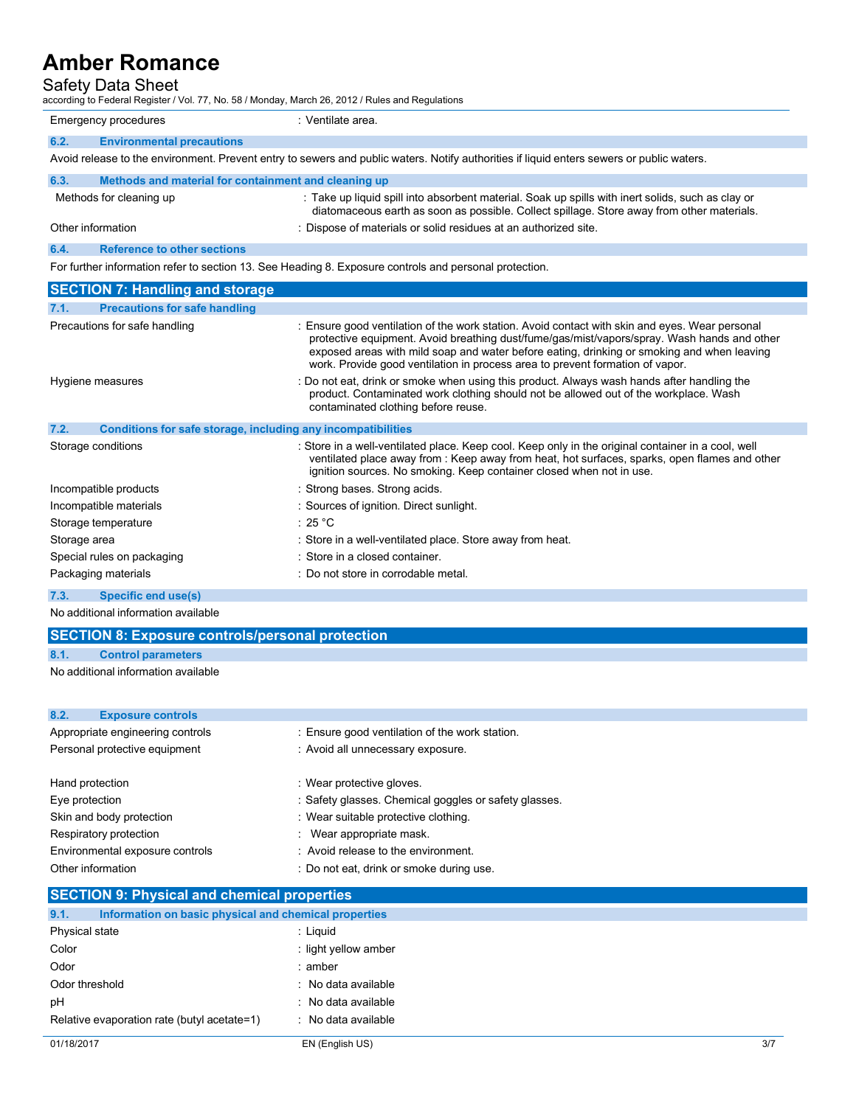# Safety Data Sheet

according to Federal Register / Vol. 77, No. 58 / Monday, March 26, 2012 / Rules and Regulations

|                                                                                                                                           | according to Federal Register / Vol. 77, No. 58 / Monday, March 26, 2012 / Rules and Regulations                                                                                                                                                                                                                                                                             |  |
|-------------------------------------------------------------------------------------------------------------------------------------------|------------------------------------------------------------------------------------------------------------------------------------------------------------------------------------------------------------------------------------------------------------------------------------------------------------------------------------------------------------------------------|--|
| Emergency procedures                                                                                                                      | : Ventilate area.                                                                                                                                                                                                                                                                                                                                                            |  |
| 6.2.<br><b>Environmental precautions</b>                                                                                                  |                                                                                                                                                                                                                                                                                                                                                                              |  |
| Avoid release to the environment. Prevent entry to sewers and public waters. Notify authorities if liquid enters sewers or public waters. |                                                                                                                                                                                                                                                                                                                                                                              |  |
| 6.3.<br>Methods and material for containment and cleaning up                                                                              |                                                                                                                                                                                                                                                                                                                                                                              |  |
| Methods for cleaning up                                                                                                                   | : Take up liquid spill into absorbent material. Soak up spills with inert solids, such as clay or<br>diatomaceous earth as soon as possible. Collect spillage. Store away from other materials.                                                                                                                                                                              |  |
| Other information                                                                                                                         | : Dispose of materials or solid residues at an authorized site.                                                                                                                                                                                                                                                                                                              |  |
| <b>Reference to other sections</b><br>6.4.                                                                                                |                                                                                                                                                                                                                                                                                                                                                                              |  |
|                                                                                                                                           | For further information refer to section 13. See Heading 8. Exposure controls and personal protection.                                                                                                                                                                                                                                                                       |  |
| <b>SECTION 7: Handling and storage</b>                                                                                                    |                                                                                                                                                                                                                                                                                                                                                                              |  |
| <b>Precautions for safe handling</b><br>7.1.                                                                                              |                                                                                                                                                                                                                                                                                                                                                                              |  |
| Precautions for safe handling                                                                                                             | : Ensure good ventilation of the work station. Avoid contact with skin and eyes. Wear personal<br>protective equipment. Avoid breathing dust/fume/gas/mist/vapors/spray. Wash hands and other<br>exposed areas with mild soap and water before eating, drinking or smoking and when leaving<br>work. Provide good ventilation in process area to prevent formation of vapor. |  |
| Hygiene measures                                                                                                                          | : Do not eat, drink or smoke when using this product. Always wash hands after handling the<br>product. Contaminated work clothing should not be allowed out of the workplace. Wash<br>contaminated clothing before reuse.                                                                                                                                                    |  |
| 7.2.<br>Conditions for safe storage, including any incompatibilities                                                                      |                                                                                                                                                                                                                                                                                                                                                                              |  |
| Storage conditions                                                                                                                        | : Store in a well-ventilated place. Keep cool. Keep only in the original container in a cool, well<br>. Martin Latin and Colorador and Martin Colorador Barbara Barriston and an annual and an am Martin and Latin M                                                                                                                                                         |  |

| .<br><u>UURINDRU IUL SUR SEURGU, MURUMMI UN MIUURINUUTIIUUS</u> |                                                                                                                                                                                                                                                                            |
|-----------------------------------------------------------------|----------------------------------------------------------------------------------------------------------------------------------------------------------------------------------------------------------------------------------------------------------------------------|
| Storage conditions                                              | : Store in a well-ventilated place. Keep cool. Keep only in the original container in a cool, well<br>ventilated place away from: Keep away from heat, hot surfaces, sparks, open flames and other<br>ignition sources. No smoking. Keep container closed when not in use. |
| Incompatible products                                           | : Strong bases. Strong acids.                                                                                                                                                                                                                                              |
| Incompatible materials                                          | : Sources of ignition. Direct sunlight.                                                                                                                                                                                                                                    |
| Storage temperature                                             | $:25\,\mathrm{^\circ C}$                                                                                                                                                                                                                                                   |
| Storage area                                                    | : Store in a well-ventilated place. Store away from heat.                                                                                                                                                                                                                  |
| Special rules on packaging                                      | : Store in a closed container.                                                                                                                                                                                                                                             |
| Packaging materials                                             | : Do not store in corrodable metal.                                                                                                                                                                                                                                        |
| 7.3.<br><b>Specific end use(s)</b>                              |                                                                                                                                                                                                                                                                            |

No additional information available

## **SECTION 8: Exposure controls/personal protection**

**8.1. Control parameters**

No additional information available

### **8.2. Exposure controls**

| Appropriate engineering controls | : Ensure good ventilation of the work station.        |
|----------------------------------|-------------------------------------------------------|
| Personal protective equipment    | : Avoid all unnecessary exposure.                     |
|                                  |                                                       |
| Hand protection                  | : Wear protective gloves.                             |
| Eye protection                   | : Safety glasses. Chemical goggles or safety glasses. |
| Skin and body protection         | : Wear suitable protective clothing.                  |
| Respiratory protection           | : Wear appropriate mask.                              |
| Environmental exposure controls  | : Avoid release to the environment.                   |
| Other information                | : Do not eat, drink or smoke during use.              |

# **SECTION 9: Physical and chemical properties**

| Information on basic physical and chemical properties<br>9.1. |                      |
|---------------------------------------------------------------|----------------------|
| Physical state                                                | : Liguid             |
| Color                                                         | : light yellow amber |
| Odor                                                          | : amber              |
| Odor threshold                                                | : No data available  |
| рH                                                            | : No data available  |
| Relative evaporation rate (butyl acetate=1)                   | : No data available  |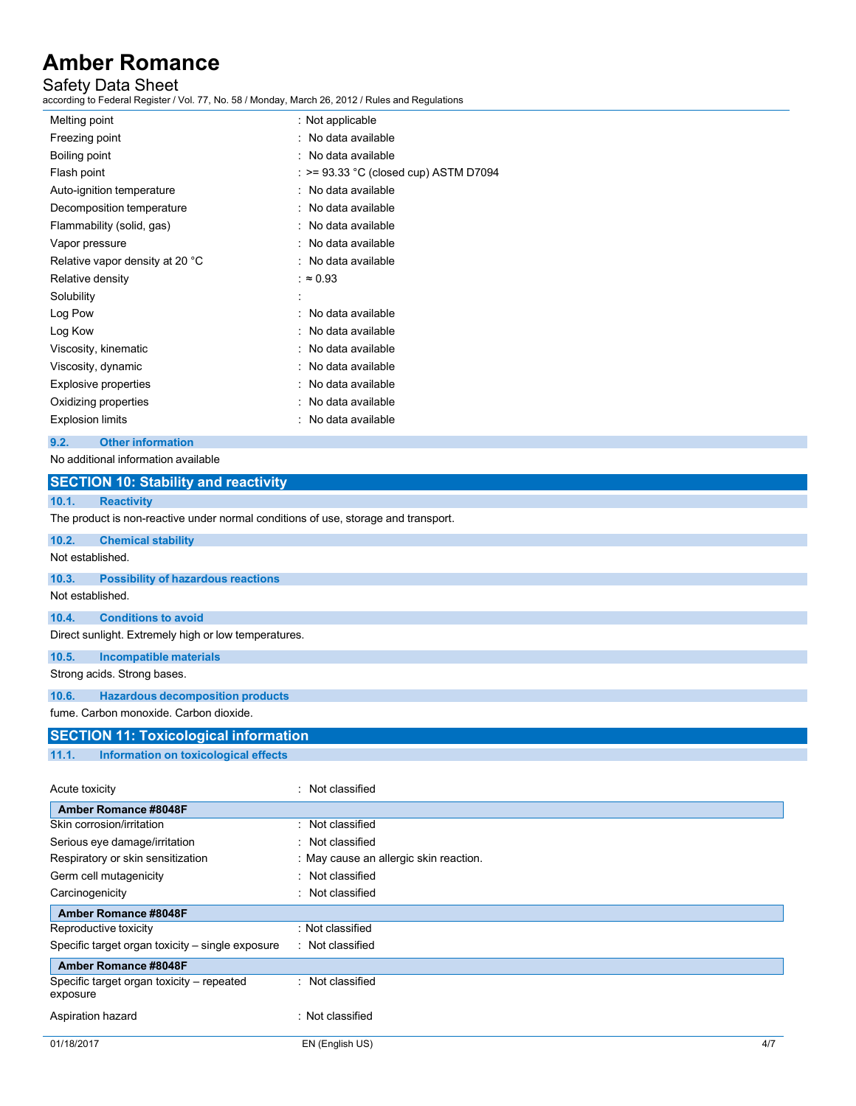## Safety Data Sheet

according to Federal Register / Vol. 77, No. 58 / Monday, March 26, 2012 / Rules and Regulations

| Melting point                   | : Not applicable                        |
|---------------------------------|-----------------------------------------|
| Freezing point                  | : No data available                     |
| Boiling point                   | : No data available                     |
| Flash point                     | $:$ >= 93.33 °C (closed cup) ASTM D7094 |
| Auto-ignition temperature       | : No data available                     |
| Decomposition temperature       | : No data available                     |
| Flammability (solid, gas)       | : No data available                     |
| Vapor pressure                  | $\therefore$ No data available          |
| Relative vapor density at 20 °C | : No data available                     |
| Relative density                | : $\approx 0.93$                        |
| Solubility                      |                                         |
| Log Pow                         | : No data available                     |
| Log Kow                         | : No data available                     |
| Viscosity, kinematic            | : No data available                     |
| Viscosity, dynamic              | : No data available                     |
| Explosive properties            | : No data available                     |
| Oxidizing properties            | : No data available                     |
| <b>Explosion limits</b>         | : No data available                     |

#### **9.2. Other information**

No additional information available

Reproductive toxicity : Not classified Specific target organ toxicity – single exposure : Not classified

Aspiration hazard **in the set of the contract of the S** in Not classified

**Amber Romance #8048F**

exposure

Specific target organ toxicity – repeated

|                                                                             | <b>SECTION 10: Stability and reactivity</b>                                        |                  |  |
|-----------------------------------------------------------------------------|------------------------------------------------------------------------------------|------------------|--|
| 10.1.                                                                       | <b>Reactivity</b>                                                                  |                  |  |
|                                                                             | The product is non-reactive under normal conditions of use, storage and transport. |                  |  |
| 10.2.                                                                       | <b>Chemical stability</b>                                                          |                  |  |
| Not established.                                                            |                                                                                    |                  |  |
| 10.3.                                                                       | <b>Possibility of hazardous reactions</b>                                          |                  |  |
| Not established.                                                            |                                                                                    |                  |  |
| 10.4.                                                                       | <b>Conditions to avoid</b>                                                         |                  |  |
|                                                                             | Direct sunlight. Extremely high or low temperatures.                               |                  |  |
| 10.5.                                                                       | <b>Incompatible materials</b>                                                      |                  |  |
|                                                                             | Strong acids. Strong bases.                                                        |                  |  |
| 10.6.                                                                       | <b>Hazardous decomposition products</b>                                            |                  |  |
|                                                                             | fume. Carbon monoxide. Carbon dioxide.                                             |                  |  |
|                                                                             | <b>SECTION 11: Toxicological information</b>                                       |                  |  |
| 11.1.                                                                       | Information on toxicological effects                                               |                  |  |
| Acute toxicity                                                              |                                                                                    | : Not classified |  |
|                                                                             | Amber Romance #8048F                                                               |                  |  |
| Skin corrosion/irritation                                                   |                                                                                    | : Not classified |  |
| Serious eye damage/irritation<br>: Not classified                           |                                                                                    |                  |  |
| Respiratory or skin sensitization<br>: May cause an allergic skin reaction. |                                                                                    |                  |  |
|                                                                             | : Not classified<br>Germ cell mutagenicity                                         |                  |  |
|                                                                             | Carcinogenicity<br>: Not classified                                                |                  |  |
|                                                                             | Amber Romance #8048F                                                               |                  |  |

01/18/2017 EN (English US) 4/7

: Not classified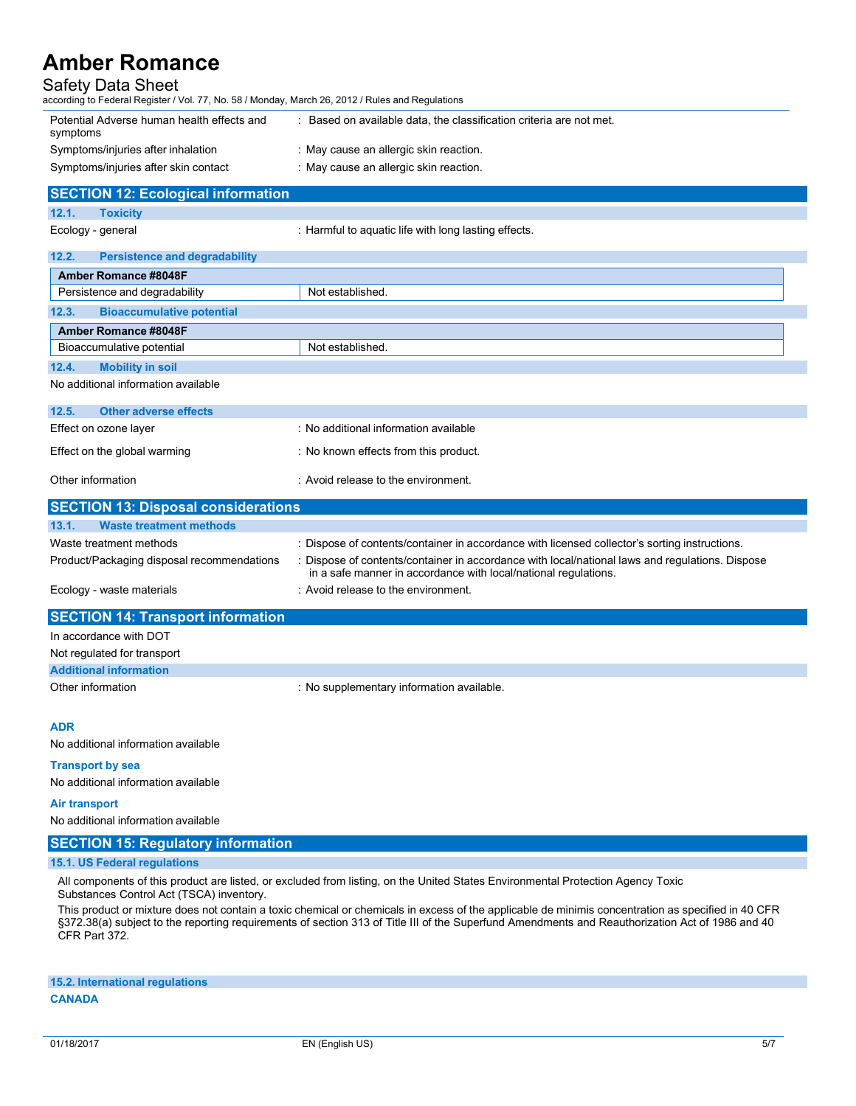### Safety Data Sheet

| according to Federal Register / Vol. 77, No. 58 / Monday, March 26, 2012 / Rules and Regulations |                                                                     |  |  |
|--------------------------------------------------------------------------------------------------|---------------------------------------------------------------------|--|--|
| Potential Adverse human health effects and<br>symptoms                                           | : Based on available data, the classification criteria are not met. |  |  |
| Symptoms/injuries after inhalation                                                               | : May cause an allergic skin reaction.                              |  |  |
| Symptoms/injuries after skin contact                                                             | : May cause an allergic skin reaction.                              |  |  |
| <b>SECTION 12: Ecological information</b>                                                        |                                                                     |  |  |
| 12.1.<br><b>Toxicity</b>                                                                         |                                                                     |  |  |

Ecology - general **Example 20** : Harmful to aquatic life with long lasting effects.

| 12.2.                                         | <b>Persistence and degradability</b>  |  |  |
|-----------------------------------------------|---------------------------------------|--|--|
| Amber Romance #8048F                          |                                       |  |  |
| Persistence and degradability                 | Not established.                      |  |  |
| 12.3.<br><b>Bioaccumulative potential</b>     |                                       |  |  |
| Amber Romance #8048F                          |                                       |  |  |
| Bioaccumulative potential<br>Not established. |                                       |  |  |
| 12.4.<br><b>Mobility in soil</b>              |                                       |  |  |
| No additional information available           |                                       |  |  |
| 12.5.<br><b>Other adverse effects</b>         |                                       |  |  |
| Effect on ozone layer                         | : No additional information available |  |  |
| Effect on the global warming                  | : No known effects from this product. |  |  |
| Other information                             | : Avoid release to the environment.   |  |  |

| <b>SECTION 13: Disposal considerations</b> |                                                                                                                                                                    |  |
|--------------------------------------------|--------------------------------------------------------------------------------------------------------------------------------------------------------------------|--|
| 13.1.<br><b>Waste treatment methods</b>    |                                                                                                                                                                    |  |
| Waste treatment methods                    | : Dispose of contents/container in accordance with licensed collector's sorting instructions.                                                                      |  |
| Product/Packaging disposal recommendations | : Dispose of contents/container in accordance with local/national laws and regulations. Dispose<br>in a safe manner in accordance with local/national regulations. |  |
| Ecology - waste materials                  | : Avoid release to the environment.                                                                                                                                |  |

### **SECTION 14: Transport information**

| In accordance with DOT        |                                           |
|-------------------------------|-------------------------------------------|
| Not regulated for transport   |                                           |
| <b>Additional information</b> |                                           |
| Other information             | : No supplementary information available. |

**ADR**

No additional information available

#### **Transport by sea**

No additional information available

#### **Air transport**

No additional information available

### **SECTION 15: Regulatory information**

#### **15.1. US Federal regulations**

All components of this product are listed, or excluded from listing, on the United States Environmental Protection Agency Toxic Substances Control Act (TSCA) inventory.

This product or mixture does not contain a toxic chemical or chemicals in excess of the applicable de minimis concentration as specified in 40 CFR §372.38(a) subject to the reporting requirements of section 313 of Title III of the Superfund Amendments and Reauthorization Act of 1986 and 40 CFR Part 372.

### **15.2. International regulations CANADA**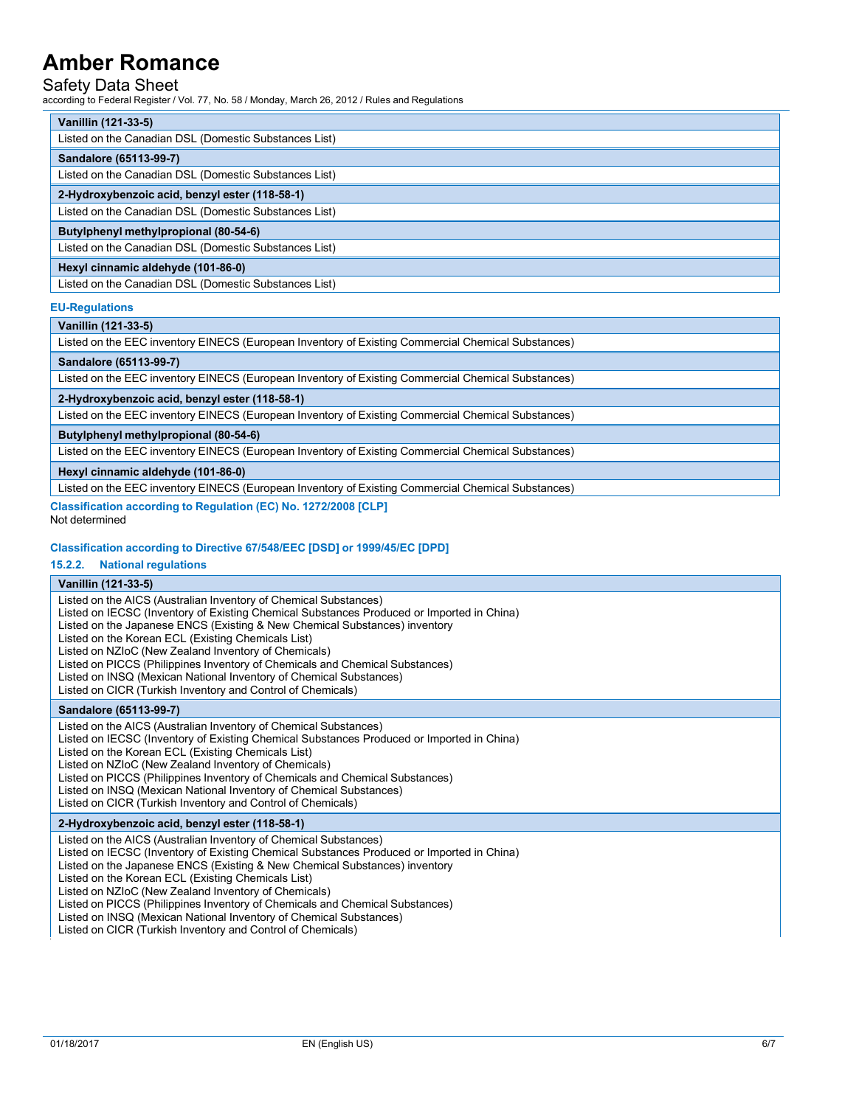### Safety Data Sheet

according to Federal Register / Vol. 77, No. 58 / Monday, March 26, 2012 / Rules and Regulations

|                                       | Vanillin (121-33-5)                                   |  |  |  |
|---------------------------------------|-------------------------------------------------------|--|--|--|
|                                       | Listed on the Canadian DSL (Domestic Substances List) |  |  |  |
| Sandalore (65113-99-7)                |                                                       |  |  |  |
|                                       | Listed on the Canadian DSL (Domestic Substances List) |  |  |  |
|                                       | 2-Hydroxybenzoic acid, benzyl ester (118-58-1)        |  |  |  |
|                                       | Listed on the Canadian DSL (Domestic Substances List) |  |  |  |
| Butylphenyl methylpropional (80-54-6) |                                                       |  |  |  |
|                                       | Listed on the Canadian DSL (Domestic Substances List) |  |  |  |
| Hexyl cinnamic aldehyde (101-86-0)    |                                                       |  |  |  |
|                                       | Listed on the Canadian DSL (Domestic Substances List) |  |  |  |

#### **EU-Regulations**

#### **Vanillin (121-33-5)**

Listed on the EEC inventory EINECS (European Inventory of Existing Commercial Chemical Substances)

#### **Sandalore (65113-99-7)**

Listed on the EEC inventory EINECS (European Inventory of Existing Commercial Chemical Substances)

#### **2-Hydroxybenzoic acid, benzyl ester (118-58-1)**

Listed on the EEC inventory EINECS (European Inventory of Existing Commercial Chemical Substances)

#### **Butylphenyl methylpropional (80-54-6)**

Listed on the EEC inventory EINECS (European Inventory of Existing Commercial Chemical Substances)

**Hexyl cinnamic aldehyde (101-86-0)**

Listed on the EEC inventory EINECS (European Inventory of Existing Commercial Chemical Substances)

**Classification according to Regulation (EC) No. 1272/2008 [CLP]**

Not determined

#### **Classification according to Directive 67/548/EEC [DSD] or 1999/45/EC [DPD]**

#### **15.2.2. National regulations**

#### **Vanillin (121-33-5)**

Listed on the AICS (Australian Inventory of Chemical Substances) Listed on IECSC (Inventory of Existing Chemical Substances Produced or Imported in China) Listed on the Japanese ENCS (Existing & New Chemical Substances) inventory Listed on the Korean ECL (Existing Chemicals List) Listed on NZIoC (New Zealand Inventory of Chemicals) Listed on PICCS (Philippines Inventory of Chemicals and Chemical Substances) Listed on INSQ (Mexican National Inventory of Chemical Substances) Listed on CICR (Turkish Inventory and Control of Chemicals)

#### **Sandalore (65113-99-7)**

Listed on the AICS (Australian Inventory of Chemical Substances) Listed on IECSC (Inventory of Existing Chemical Substances Produced or Imported in China) Listed on the Korean ECL (Existing Chemicals List) Listed on NZIoC (New Zealand Inventory of Chemicals) Listed on PICCS (Philippines Inventory of Chemicals and Chemical Substances) Listed on INSQ (Mexican National Inventory of Chemical Substances) Listed on CICR (Turkish Inventory and Control of Chemicals)

#### **2-Hydroxybenzoic acid, benzyl ester (118-58-1)**

Listed on the AICS (Australian Inventory of Chemical Substances) Listed on IECSC (Inventory of Existing Chemical Substances Produced or Imported in China) Listed on the Japanese ENCS (Existing & New Chemical Substances) inventory Listed on the Korean ECL (Existing Chemicals List) Listed on NZIoC (New Zealand Inventory of Chemicals) Listed on PICCS (Philippines Inventory of Chemicals and Chemical Substances) Listed on INSQ (Mexican National Inventory of Chemical Substances) Listed on CICR (Turkish Inventory and Control of Chemicals)

\